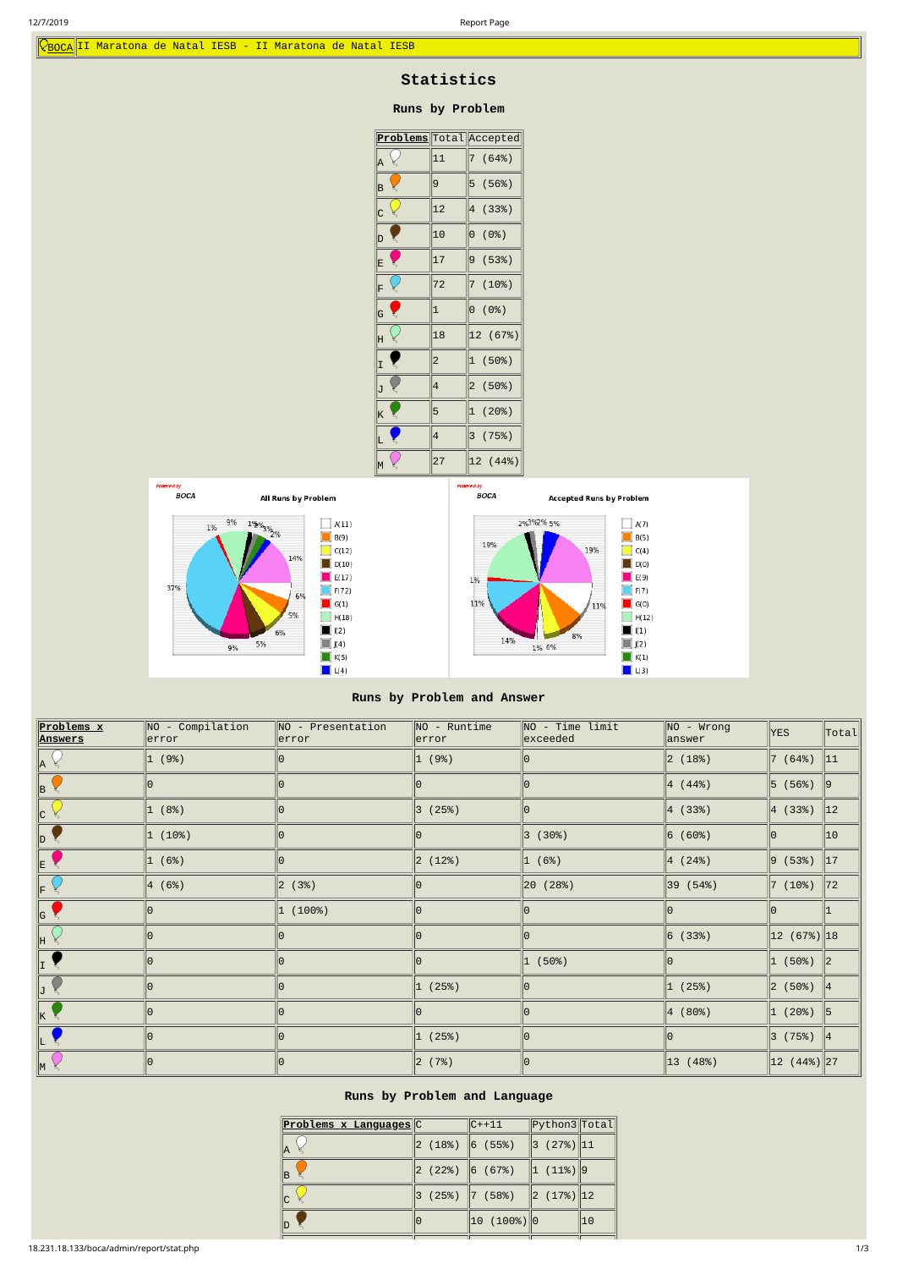# **Statistics**

## **Runs by Problem**

| <b>Problems</b> Total Accepted |                         |                         |
|--------------------------------|-------------------------|-------------------------|
| A                              | 11                      | (64%)<br>7              |
| B<br>¥                         | 9                       | 5<br>(56%)              |
| $\overline{\mathbf{c}}$        | 12                      | 4<br>(33%)              |
| D                              | 10                      | $\Theta$<br>(0%)        |
| E                              | 17                      | 9<br>(53%)              |
| ¥<br>Ë                         | 72                      | $\overline{7}$<br>(10%) |
| G                              | $\mathbf 1$             | $\Theta$<br>(0%)        |
| H                              | 18                      | 12 (67%)                |
| ₹<br>I                         | $\overline{c}$          | (50%)<br>1              |
| J<br>¥                         | 4                       | 2(50%)                  |
| K                              | 5                       | (20%)<br>1              |
|                                | $\overline{\mathbf{r}}$ | 3 <sup>1</sup><br>(75%) |
| M                              | 27                      | 12 (44%)                |





| Problems x<br><b>Answers</b> | $NO - Compilation$<br>error | $\parallel$ NO - Presentation<br> error | $NO - Runtime$<br> error | $\parallel$ NO - Time limit<br>$\parallel$ exceeded | NO - Wrong<br>$ {\sf answer} $ | <b>YES</b>                                      | Total                    |
|------------------------------|-----------------------------|-----------------------------------------|--------------------------|-----------------------------------------------------|--------------------------------|-------------------------------------------------|--------------------------|
| A                            | 1 (9%)                      | 10                                      | 1 (9%)                   | 10                                                  | 2(18%)                         | 7(64%)                                          | 11                       |
| lB.                          | Θ                           | 10                                      |                          | 10                                                  | $ 4(44\%)$                     | 5(56%)                                          | 19                       |
| C                            | 1 (8%)                      | 10                                      | $\ 3 \, (25\%)$          | 10                                                  | 4(33%)                         | $ 4 \; (33%)$                                   | $\parallel$ 12           |
| ID.                          | 1(10%)                      | 10                                      | ΙO                       | 3(30%)                                              | $ 6 \; (60%)$                  | 10.                                             | $\parallel$ 10           |
| IE.                          | 1 (6%)                      | 10                                      | $\ 2(12\%)$              | 1 (6%)                                              | 4 (24%)                        | $ 9 \; (53%)$                                   | $\parallel$ 17           |
|                              | 4(6%)                       | $\ 2 \quad (3%)$                        |                          | 20 (28%)                                            | 39 (54%)                       | $ 7 \; (10%)$                                   | 72                       |
| G                            | 0                           | 1 (100%)                                | 10                       | 10                                                  |                                |                                                 |                          |
| lн                           | $\Theta$                    |                                         |                          | 0                                                   | 6(33%)                         | $12(67%)$ 18                                    |                          |
|                              | 0                           | IO                                      |                          | $\ 1\ (50\%)$                                       |                                | 1(50%)                                          | $\parallel$ <sub>2</sub> |
|                              | 10                          | 10                                      | (25%)<br>11              | $ 0\rangle$                                         | (25%)<br>1                     | $ 2 \; (50\%)   4 \;  $                         |                          |
|                              | 0                           | lΘ                                      |                          | 0                                                   | $ 4 \; (80%)$                  | 1(20%)                                          | 5                        |
|                              | 10                          | IO                                      | 1(25%)                   | 10                                                  |                                | $\begin{vmatrix} 3 & (75\%) &  4 \end{vmatrix}$ |                          |
| M                            | 10                          | 10                                      | $\ 2\;$ (7%)             | ∥Θ                                                  | $ 13 \; (48%)$                 | $\ 12\  (44\%) \ 27\ $                          |                          |

## **Runs by Problem and Language**

| <b>Problems x Languages</b> C |                             | $ C++11 $                                                                                             | Python3  Total   |    |
|-------------------------------|-----------------------------|-------------------------------------------------------------------------------------------------------|------------------|----|
| ΙA                            | $\ 2\ $ (18%) $\ 6\ $ (55%) |                                                                                                       | $\ 3(27\%) \ 11$ |    |
| B.                            | $\ 2\ $ (22%) $\ 6\ $ (67%) |                                                                                                       | $\ 1(11\%)\ 9$   |    |
| $\mathsf{C}$                  |                             | $\begin{array}{ c c c c c c c c }\n \hline\n 3 & (25%) &  7 & (58%) &  2 & (17%) &  12\n \end{array}$ |                  |    |
|                               | 10                          | $ 10 \t(100%) 0$                                                                                      |                  | 10 |
|                               |                             |                                                                                                       |                  |    |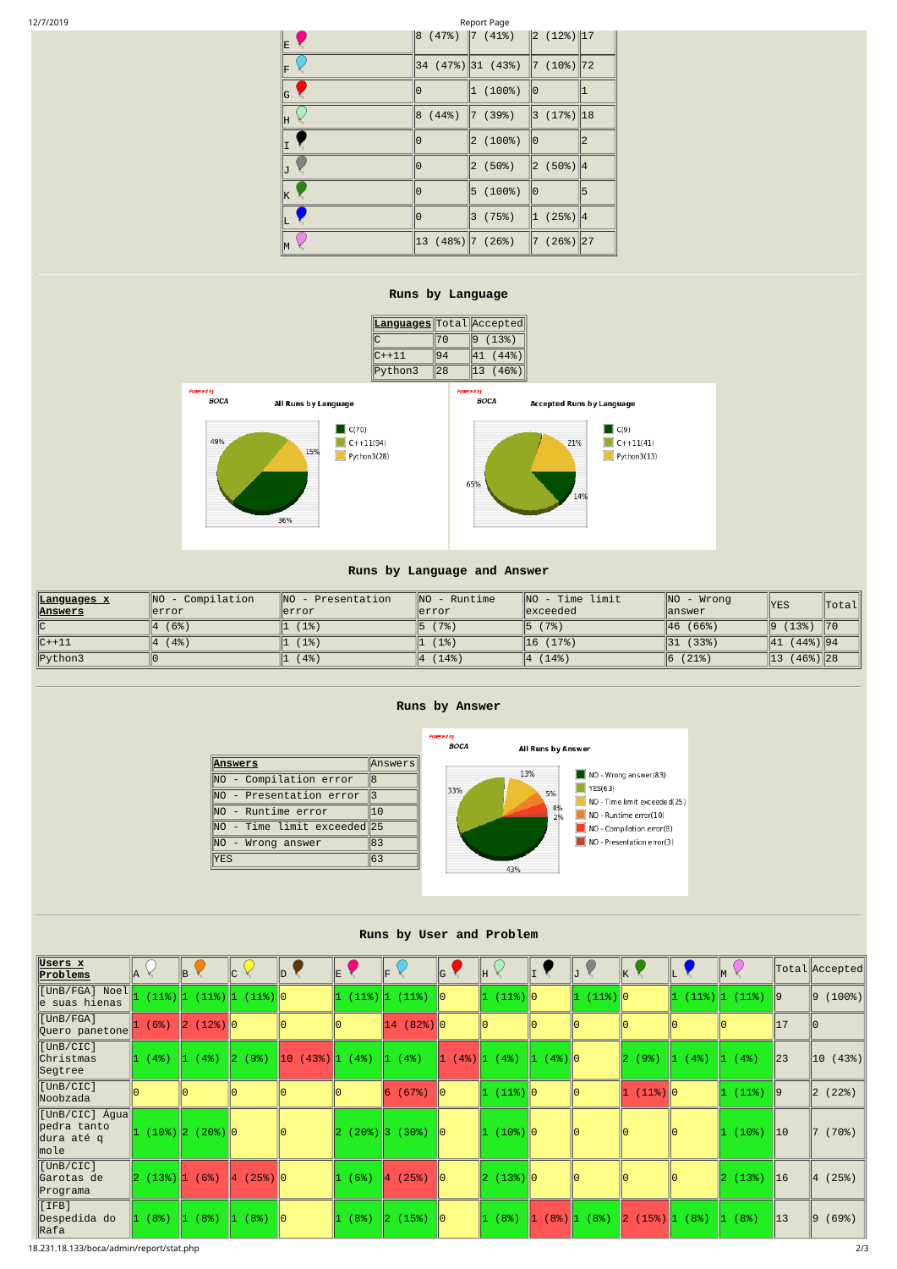| 12/7/2019 |  | Page<br>Renort<br>____ |
|-----------|--|------------------------|
|           |  |                        |

| E. |                                                  | $\begin{array}{ c c c c c c c c } \hline 8 & (47\%) & 7 & (41\%) & 2 & (12\%) & 17 \hline \end{array}$ |                       |                |
|----|--------------------------------------------------|--------------------------------------------------------------------------------------------------------|-----------------------|----------------|
| F  |                                                  | $ 34 \t(47\%) 31 \t(43\%) 7 \t(10\%) 72$                                                               |                       |                |
| G  | 0                                                | 1(100%)                                                                                                | 10                    |                |
| lΗ | $ 8 \; (44%)$                                    | $\ 7\ $ (39%)                                                                                          | $\ 3(17\%)$ 18        |                |
| I  | 0                                                | 2(100%)                                                                                                | ∥Θ                    | $\overline{2}$ |
| J  | 0                                                | $ 2 \; (50\%)$                                                                                         | $\ 2\ $ (50%) $\ 4\ $ |                |
| ΙK | 0                                                | 5(100%)                                                                                                | ∥Θ                    | 5              |
|    | 0                                                | $ 3 \; (75%)$                                                                                          | 1 (25%) 4             |                |
| M  | $\begin{vmatrix} 13 & (48\%)\end{vmatrix}$ (26%) |                                                                                                        | $\ 7 \ (26\%) \ 27$   |                |

#### **Runs by Language**

| <b>Languages Total Accepted</b> |    |       |
|---------------------------------|----|-------|
|                                 | 70 | (13%) |
| $C++11$                         |    | 44%   |
| Python3                         | 28 | 46%   |



36%





## **Runs by Language and Answer**

| <u> Languages x</u> | Compilation<br><b>INO</b> | <b>INO</b><br>Presentation | INO.<br>Runtime | NO<br>limit<br>Time | $\parallel$ NO<br>- Wrong     | <b>YES</b>          | <b>Total</b>   |
|---------------------|---------------------------|----------------------------|-----------------|---------------------|-------------------------------|---------------------|----------------|
| <u>  Answers</u>    | llerror                   | lerror                     | llerror         | <b>llexceeded</b>   | $\mathbin{\textsf{I}}$ answer |                     |                |
| ∥C                  | (6%)                      | (1%)                       | (7%)            | (7%)<br>IЬ          | (66%)<br>146                  | (13%)<br>19         | $\parallel$ 70 |
| $ C++11 $           | $4\%$                     | (1% )                      | (1%)            | (17%)<br> 16        | (33%)<br>$\vert$ 31           | (44%)  94<br> 41    |                |
| Python3             |                           | (4%)                       | (14%)           | (14%)<br>14         | (21%)                         | $(46%)$   28<br> 13 |                |

## **Runs by Answer**



## **Runs by User and Problem**

| Users x<br><u>Problems</u>                                 | lA.                                          | B                     | lc.                              | $\mathsf{ID}^-$                                             | E.           | IF.                    | G                                             | IH.            |               |                           | $\mathsf{k}$ $\zeta$                                                     |                |                         |                | $\ $ Total $\ $ Accepted $\ $ |
|------------------------------------------------------------|----------------------------------------------|-----------------------|----------------------------------|-------------------------------------------------------------|--------------|------------------------|-----------------------------------------------|----------------|---------------|---------------------------|--------------------------------------------------------------------------|----------------|-------------------------|----------------|-------------------------------|
| [UnB/FGA] Noel  <mark> </mark><br>$ e \rangle$ suas hienas |                                              |                       | $(11\%)$ 1 $(11\%)$ 1 $(11\%)$ 0 |                                                             |              | $(11\%)$ $ 1 (11\%) 0$ |                                               | $\ 1(11\%)$ 0  |               | $ 1(11\%) 0$              |                                                                          | 11.            | $(11\%)$ $(11\%)$  9    |                | (100%)<br>$ 9\rangle$         |
| [UnB/FGA]<br>∥Quero panetone∥                              | (6%)                                         | $\ 2(12\%)\ 0$        |                                  | 10                                                          |              | $14(82%)$ 0            |                                               | 10             |               | 10                        |                                                                          |                |                         | 17             |                               |
| $[$ UnB/CIC]<br>∥Christmas<br>∥Segtree                     | $ 1 (4\%)  1 ($                              | (4%)                  | $\ 2\ (9\%)$                     | $\left 10\right\rangle (43\%)$ $\left 1\right\rangle (4\%)$ |              | $ 1(4\%)$              | $\begin{vmatrix} 1 & (4\%)\end{vmatrix}$ (4%) |                | $\ 1(4\%)\ 0$ |                           | (9%)<br>12.                                                              | $\ 1\ (4\%)\ $ | $\vert 1 \rangle (4\%)$ | $\parallel$ 23 | $\ 10$ (43%)                  |
| [UnB/CIC]<br>Noobzada                                      |                                              |                       |                                  |                                                             |              | 6(67%)                 | $\mathsf{II}\Theta$                           | $\ 1(11\%)\ 0$ |               | 0                         | $\ 1(11\%)\ 0$                                                           |                | $\ 1(11\%) \ $ 9        |                | (22%)<br>$ 2\rangle$          |
| ∥[UnB/CIC] Água∥<br>pedra tanto<br>dura até q<br>∥mole     |                                              | $(10\%)$ 2 $(20\%)$ 0 |                                  | 10                                                          |              | (20%) 3 (30%)          | -∥⊙                                           | $(10%)$ 0      |               | 10                        | l0.                                                                      |                | $ 1(10\%)$              | $\parallel$ 10 | (70%)                         |
| $[$ UnB/CIC]<br>Garotas de<br>∥Programa                    | $\left 2\right $ (13%) $\left 1\right $ (6%) |                       | $\ 4(25\%)\ 0$                   |                                                             | (6%)<br>ll 1 | $\ 4(25\%)$            | 10                                            | 2(13%) 0       |               | 10                        |                                                                          |                | 2(13%)                  | $\vert$ 16     | (25%)<br>$ 4\rangle$          |
| $[\texttt{IFB}]$<br>∥Despedida do<br> Rafa                 | (8%)                                         | (8%)<br><b>11.</b>    | (8%)<br>$\parallel$ 1            | $\parallel$ 0                                               | (8%)         | $\ 2\  (15\%)$         | - 10                                          | 1 (8%)         |               | $\ 1\  (8\%) \ 1\  (8\%)$ | $\left 2\right  \left(15\%\right)\left 1\right  \left(8\%\right)\right $ |                | $\ 1\ $ (8%)            | $\parallel$ 13 | (69%)<br>$ 9\rangle$          |